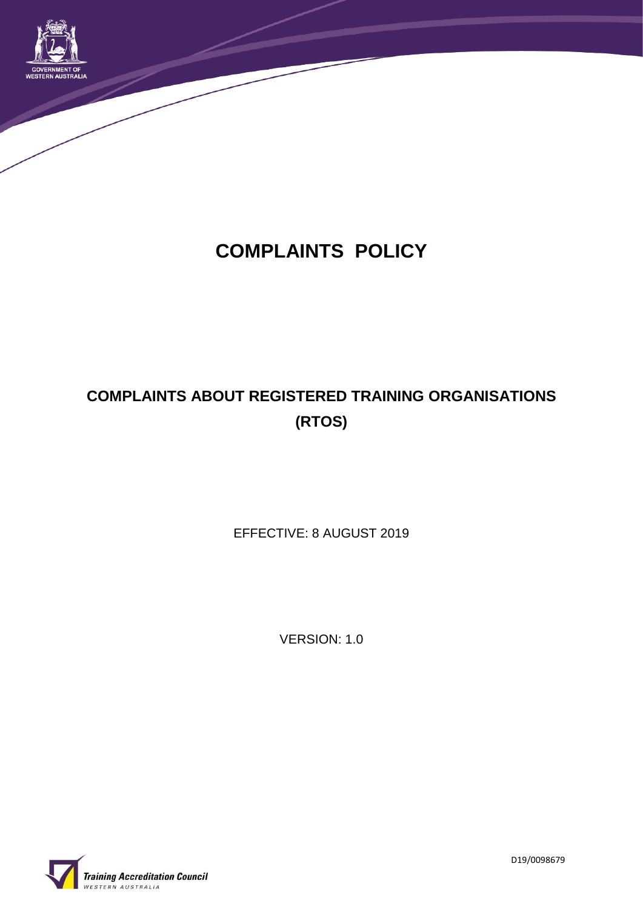

# **COMPLAINTS POLICY**

# **COMPLAINTS ABOUT REGISTERED TRAINING ORGANISATIONS (RTOS)**

EFFECTIVE: 8 AUGUST 2019

VERSION: 1.0



D19/0098679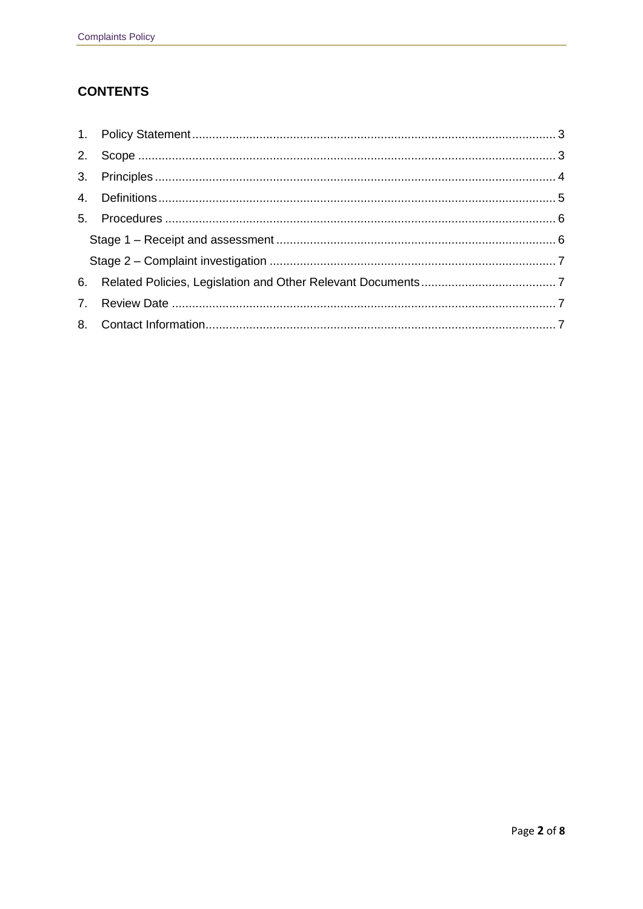### **CONTENTS**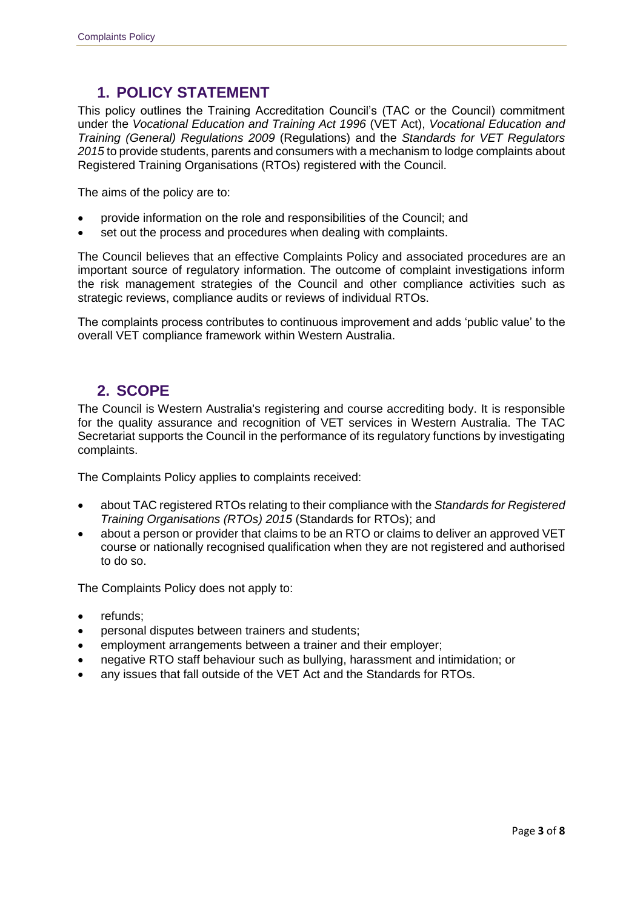### **1. POLICY STATEMENT**

This policy outlines the Training Accreditation Council's (TAC or the Council) commitment under the *Vocational Education and Training Act 1996* (VET Act), *Vocational Education and Training (General) Regulations 2009* (Regulations) and the *Standards for VET Regulators 2015* to provide students, parents and consumers with a mechanism to lodge complaints about Registered Training Organisations (RTOs) registered with the Council.

The aims of the policy are to:

- provide information on the role and responsibilities of the Council; and
- set out the process and procedures when dealing with complaints.

The Council believes that an effective Complaints Policy and associated procedures are an important source of regulatory information. The outcome of complaint investigations inform the risk management strategies of the Council and other compliance activities such as strategic reviews, compliance audits or reviews of individual RTOs.

The complaints process contributes to continuous improvement and adds 'public value' to the overall VET compliance framework within Western Australia.

### **2. SCOPE**

The Council is Western Australia's registering and course accrediting body. It is responsible for the quality assurance and recognition of VET services in Western Australia. The TAC Secretariat supports the Council in the performance of its regulatory functions by investigating complaints.

The Complaints Policy applies to complaints received:

- about TAC registered RTOs relating to their compliance with the *Standards for Registered Training Organisations (RTOs) 2015* (Standards for RTOs); and
- about a person or provider that claims to be an RTO or claims to deliver an approved VET course or nationally recognised qualification when they are not registered and authorised to do so.

The Complaints Policy does not apply to:

- refunds:
- personal disputes between trainers and students;
- employment arrangements between a trainer and their employer;
- negative RTO staff behaviour such as bullying, harassment and intimidation; or
- any issues that fall outside of the VET Act and the Standards for RTOs.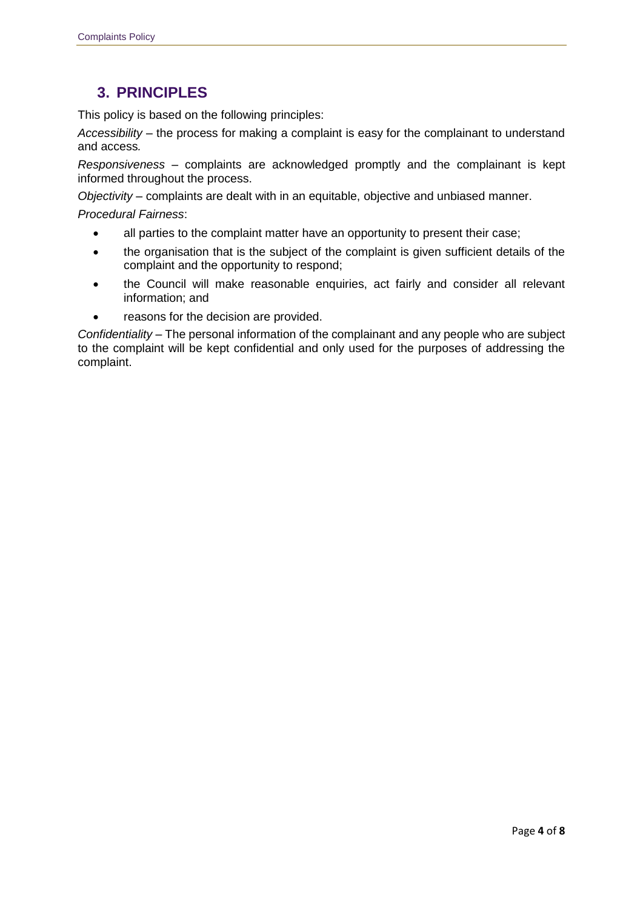## **3. PRINCIPLES**

This policy is based on the following principles:

*Accessibility –* the process for making a complaint is easy for the complainant to understand and access*.*

*Responsiveness –* complaints are acknowledged promptly and the complainant is kept informed throughout the process.

*Objectivity* – complaints are dealt with in an equitable, objective and unbiased manner.

*Procedural Fairness*:

- all parties to the complaint matter have an opportunity to present their case;
- the organisation that is the subject of the complaint is given sufficient details of the complaint and the opportunity to respond;
- the Council will make reasonable enquiries, act fairly and consider all relevant information; and
- reasons for the decision are provided.

*Confidentiality –* The personal information of the complainant and any people who are subject to the complaint will be kept confidential and only used for the purposes of addressing the complaint.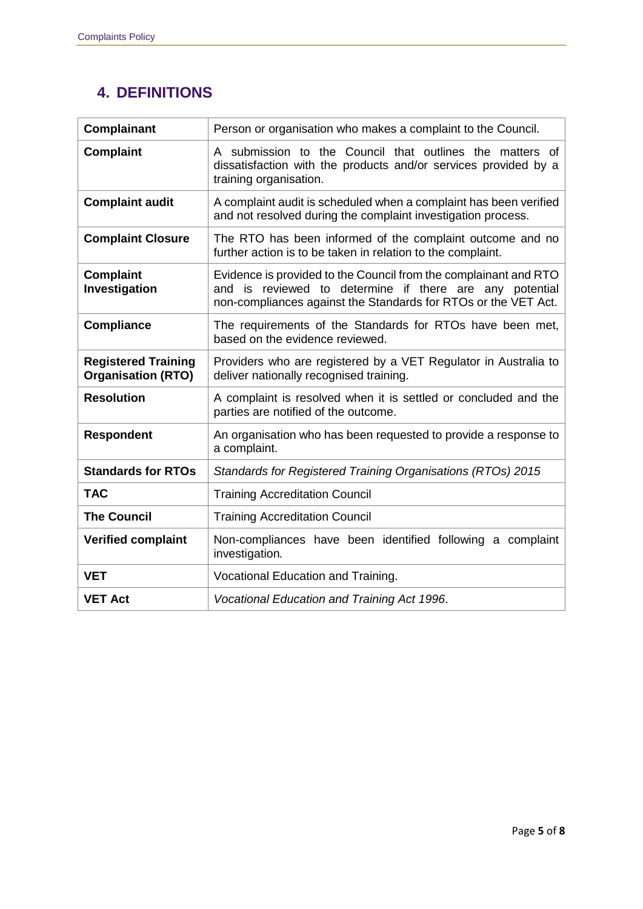# **4. DEFINITIONS**

| <b>Complainant</b>                                      | Person or organisation who makes a complaint to the Council.                                                                                                                                  |
|---------------------------------------------------------|-----------------------------------------------------------------------------------------------------------------------------------------------------------------------------------------------|
| <b>Complaint</b>                                        | A submission to the Council that outlines the matters of<br>dissatisfaction with the products and/or services provided by a<br>training organisation.                                         |
| <b>Complaint audit</b>                                  | A complaint audit is scheduled when a complaint has been verified<br>and not resolved during the complaint investigation process.                                                             |
| <b>Complaint Closure</b>                                | The RTO has been informed of the complaint outcome and no<br>further action is to be taken in relation to the complaint.                                                                      |
| <b>Complaint</b><br>Investigation                       | Evidence is provided to the Council from the complainant and RTO<br>and is reviewed to determine if there are any potential<br>non-compliances against the Standards for RTOs or the VET Act. |
| <b>Compliance</b>                                       | The requirements of the Standards for RTOs have been met,<br>based on the evidence reviewed.                                                                                                  |
| <b>Registered Training</b><br><b>Organisation (RTO)</b> | Providers who are registered by a VET Regulator in Australia to<br>deliver nationally recognised training.                                                                                    |
| <b>Resolution</b>                                       | A complaint is resolved when it is settled or concluded and the<br>parties are notified of the outcome.                                                                                       |
| <b>Respondent</b>                                       | An organisation who has been requested to provide a response to<br>a complaint.                                                                                                               |
| <b>Standards for RTOs</b>                               | Standards for Registered Training Organisations (RTOs) 2015                                                                                                                                   |
| <b>TAC</b>                                              | <b>Training Accreditation Council</b>                                                                                                                                                         |
| <b>The Council</b>                                      | <b>Training Accreditation Council</b>                                                                                                                                                         |
| <b>Verified complaint</b>                               | Non-compliances have been identified following a complaint<br>investigation.                                                                                                                  |
| <b>VET</b>                                              | Vocational Education and Training.                                                                                                                                                            |
| <b>VET Act</b>                                          | Vocational Education and Training Act 1996.                                                                                                                                                   |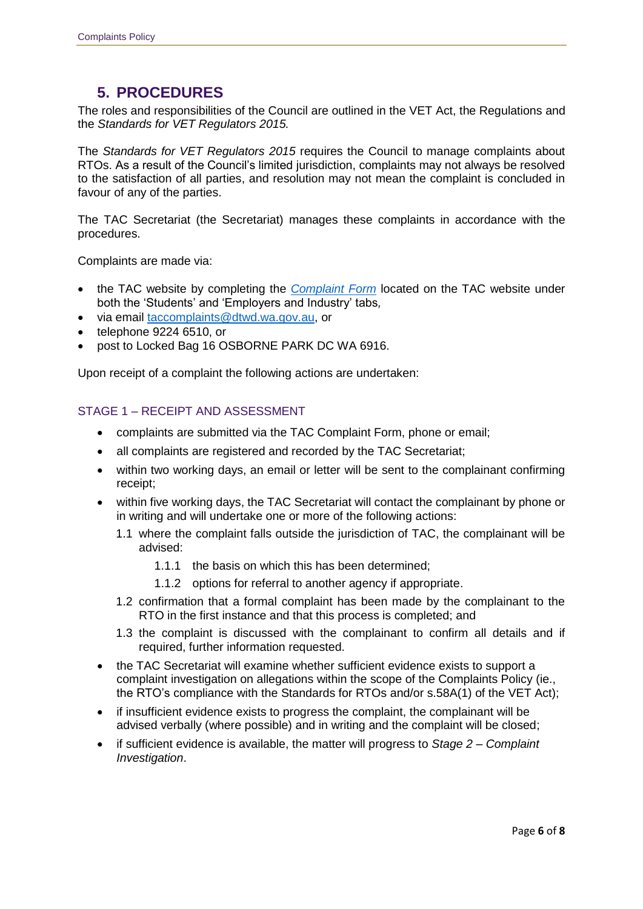#### **5. PROCEDURES**

The roles and responsibilities of the Council are outlined in the VET Act, the Regulations and the *Standards for VET Regulators 2015.*

The *Standards for VET Regulators 2015* requires the Council to manage complaints about RTOs. As a result of the Council's limited jurisdiction, complaints may not always be resolved to the satisfaction of all parties, and resolution may not mean the complaint is concluded in favour of any of the parties.

The TAC Secretariat (the Secretariat) manages these complaints in accordance with the procedures.

Complaints are made via:

- the TAC website by completing the *[Complaint Form](https://eforms.des.wa.gov.au/Produce/Form/PUB/TAC_Complaint_Form)* located on the TAC website under both the 'Students' and 'Employers and Industry' tabs*,*
- via email [taccomplaints@dtwd.wa.gov.au,](mailto:taccomplaints@dtwd.wa.gov.au) or
- $\bullet$  telephone 9224 6510, or
- post to Locked Bag 16 OSBORNE PARK DC WA 6916.

Upon receipt of a complaint the following actions are undertaken:

#### STAGE 1 – RECEIPT AND ASSESSMENT

- complaints are submitted via the TAC Complaint Form, phone or email;
- all complaints are registered and recorded by the TAC Secretariat;
- within two working days, an email or letter will be sent to the complainant confirming receipt;
- within five working days, the TAC Secretariat will contact the complainant by phone or in writing and will undertake one or more of the following actions:
	- 1.1 where the complaint falls outside the jurisdiction of TAC, the complainant will be advised:
		- 1.1.1 the basis on which this has been determined;
		- 1.1.2 options for referral to another agency if appropriate.
	- 1.2 confirmation that a formal complaint has been made by the complainant to the RTO in the first instance and that this process is completed; and
	- 1.3 the complaint is discussed with the complainant to confirm all details and if required, further information requested.
- the TAC Secretariat will examine whether sufficient evidence exists to support a complaint investigation on allegations within the scope of the Complaints Policy (ie., the RTO's compliance with the Standards for RTOs and/or s.58A(1) of the VET Act);
- if insufficient evidence exists to progress the complaint, the complainant will be advised verbally (where possible) and in writing and the complaint will be closed;
- if sufficient evidence is available, the matter will progress to *Stage 2 – Complaint Investigation*.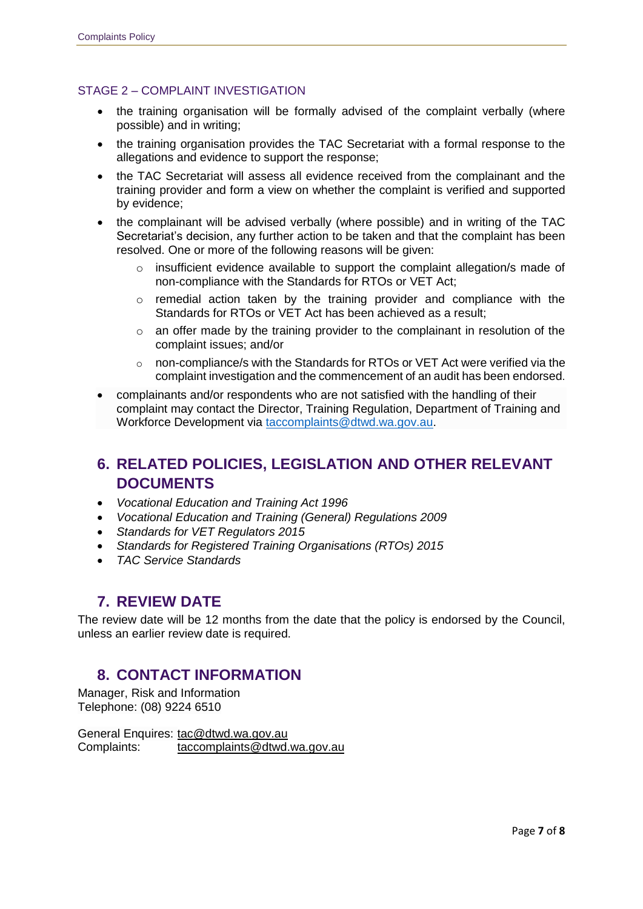#### STAGE 2 – COMPLAINT INVESTIGATION

- the training organisation will be formally advised of the complaint verbally (where possible) and in writing;
- the training organisation provides the TAC Secretariat with a formal response to the allegations and evidence to support the response;
- the TAC Secretariat will assess all evidence received from the complainant and the training provider and form a view on whether the complaint is verified and supported by evidence;
- the complainant will be advised verbally (where possible) and in writing of the TAC Secretariat's decision, any further action to be taken and that the complaint has been resolved. One or more of the following reasons will be given:
	- o insufficient evidence available to support the complaint allegation/s made of non-compliance with the Standards for RTOs or VET Act;
	- $\circ$  remedial action taken by the training provider and compliance with the Standards for RTOs or VET Act has been achieved as a result;
	- o an offer made by the training provider to the complainant in resolution of the complaint issues; and/or
	- $\circ$  non-compliance/s with the Standards for RTOs or VET Act were verified via the complaint investigation and the commencement of an audit has been endorsed.
- complainants and/or respondents who are not satisfied with the handling of their complaint may contact the Director, Training Regulation, Department of Training and Workforce Development via [taccomplaints@dtwd.wa.gov.au.](mailto:taccomplains@dtwd.wa.gov.au)

## **6. RELATED POLICIES, LEGISLATION AND OTHER RELEVANT DOCUMENTS**

- *Vocational Education and Training Act 1996*
- *Vocational Education and Training (General) Regulations 2009*
- *Standards for VET Regulators 2015*
- *Standards for Registered Training Organisations (RTOs) 2015*
- *TAC Service Standards*

#### **7. REVIEW DATE**

The review date will be 12 months from the date that the policy is endorsed by the Council, unless an earlier review date is required.

#### **8. CONTACT INFORMATION**

Manager, Risk and Information Telephone: (08) 9224 6510

General Enquires: [tac@dtwd.wa.gov.au](mailto:tac@dtwd.wa.gov.auCourse%20accreditation:%20taccourseaccreditation@dtwd.wa.gov.auComplaints:%20taccomplaints@dtwd.wa.gov.au) Complaints: [taccomplaints@dtwd.wa.gov.au](mailto:taccomplaints@dtwd.wa.gov.au)